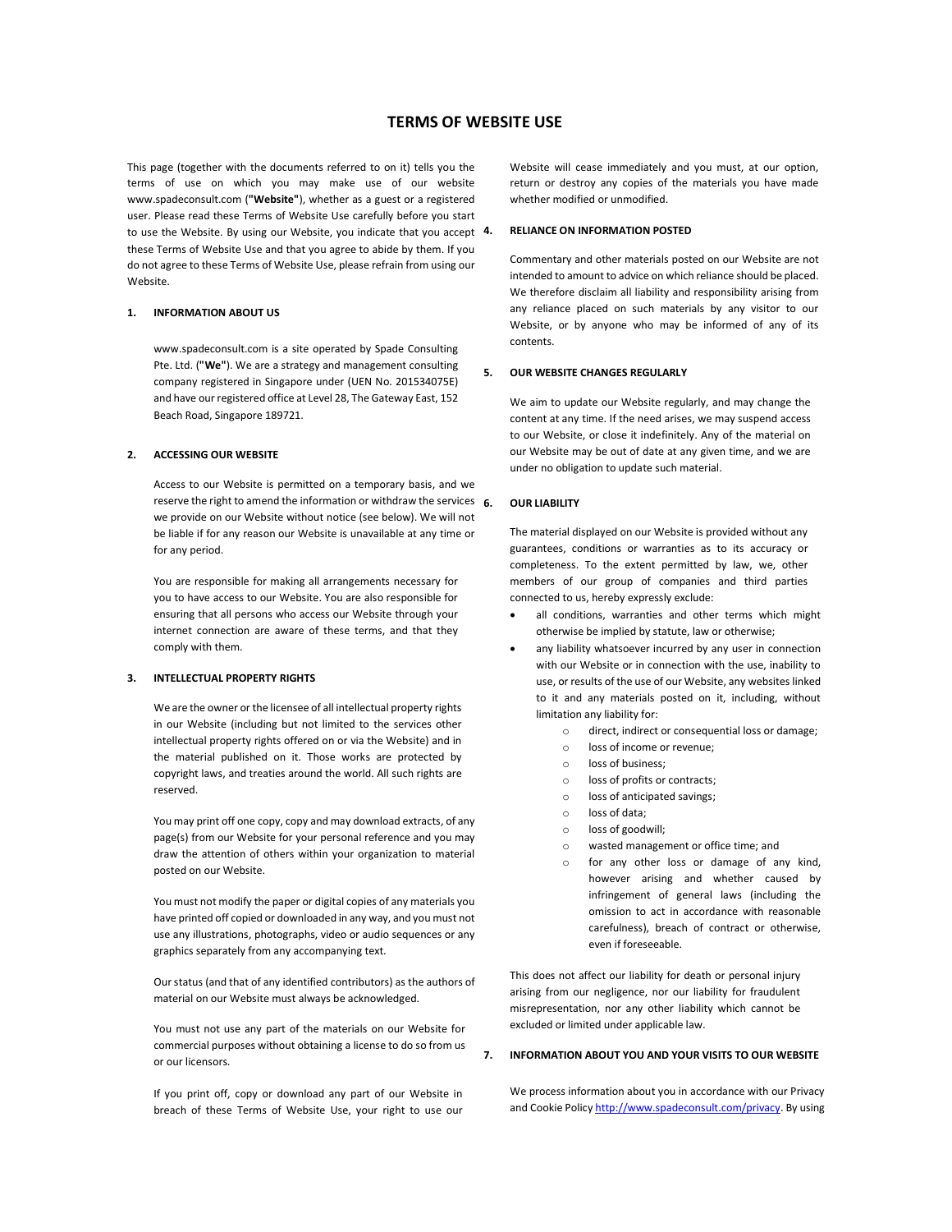# TERMS OF WEBSITE USE

This page (together with the documents referred to on it) tells you the terms of use on which you may make use of our website www.spadeconsult.com ("Website"), whether as a guest or a registered user. Please read these Terms of Website Use carefully before you start to use the Website. By using our Website, you indicate that you accept 4. these Terms of Website Use and that you agree to abide by them. If you do not agree to these Terms of Website Use, please refrain from using our Website.

## 1. INFORMATION ABOUT US

www.spadeconsult.com is a site operated by Spade Consulting Pte. Ltd. ("We"). We are a strategy and management consulting company registered in Singapore under (UEN No. 201534075E) and have our registered office at Level 28, The Gateway East, 152 Beach Road, Singapore 189721.

### 2. ACCESSING OUR WEBSITE

Access to our Website is permitted on a temporary basis, and we reserve the right to amend the information or withdraw the services  $6$ . we provide on our Website without notice (see below). We will not be liable if for any reason our Website is unavailable at any time or for any period.

You are responsible for making all arrangements necessary for you to have access to our Website. You are also responsible for ensuring that all persons who access our Website through your internet connection are aware of these terms, and that they comply with them.

## 3. INTELLECTUAL PROPERTY RIGHTS

We are the owner or the licensee of all intellectual property rights in our Website (including but not limited to the services other intellectual property rights offered on or via the Website) and in the material published on it. Those works are protected by copyright laws, and treaties around the world. All such rights are reserved.

You may print off one copy, copy and may download extracts, of any page(s) from our Website for your personal reference and you may draw the attention of others within your organization to material posted on our Website.

You must not modify the paper or digital copies of any materials you have printed off copied or downloaded in any way, and you must not use any illustrations, photographs, video or audio sequences or any graphics separately from any accompanying text.

Our status (and that of any identified contributors) as the authors of material on our Website must always be acknowledged.

You must not use any part of the materials on our Website for commercial purposes without obtaining a license to do so from us or our licensors.

If you print off, copy or download any part of our Website in breach of these Terms of Website Use, your right to use our Website will cease immediately and you must, at our option, return or destroy any copies of the materials you have made whether modified or unmodified.

### 4. RELIANCE ON INFORMATION POSTED

Commentary and other materials posted on our Website are not intended to amount to advice on which reliance should be placed. We therefore disclaim all liability and responsibility arising from any reliance placed on such materials by any visitor to our Website, or by anyone who may be informed of any of its contents.

#### 5. OUR WEBSITE CHANGES REGULARLY

We aim to update our Website regularly, and may change the content at any time. If the need arises, we may suspend access to our Website, or close it indefinitely. Any of the material on our Website may be out of date at any given time, and we are under no obligation to update such material.

### 6. OUR LIABILITY

The material displayed on our Website is provided without any guarantees, conditions or warranties as to its accuracy or completeness. To the extent permitted by law, we, other members of our group of companies and third parties connected to us, hereby expressly exclude:

- all conditions, warranties and other terms which might otherwise be implied by statute, law or otherwise;
- any liability whatsoever incurred by any user in connection with our Website or in connection with the use, inability to use, or results of the use of our Website, any websites linked to it and any materials posted on it, including, without limitation any liability for:
	- o direct, indirect or consequential loss or damage;
	- o loss of income or revenue;
	- o loss of business;
	- o loss of profits or contracts;
	- o loss of anticipated savings;
	- o loss of data;
	- o loss of goodwill;
	- o wasted management or office time; and
	- for any other loss or damage of any kind, however arising and whether caused by infringement of general laws (including the omission to act in accordance with reasonable carefulness), breach of contract or otherwise, even if foreseeable.

This does not affect our liability for death or personal injury arising from our negligence, nor our liability for fraudulent misrepresentation, nor any other liability which cannot be excluded or limited under applicable law.

### 7. INFORMATION ABOUT YOU AND YOUR VISITS TO OUR WEBSITE

We process information about you in accordance with our Privacy and Cookie Policy http://www.spadeconsult.com/privacy. By using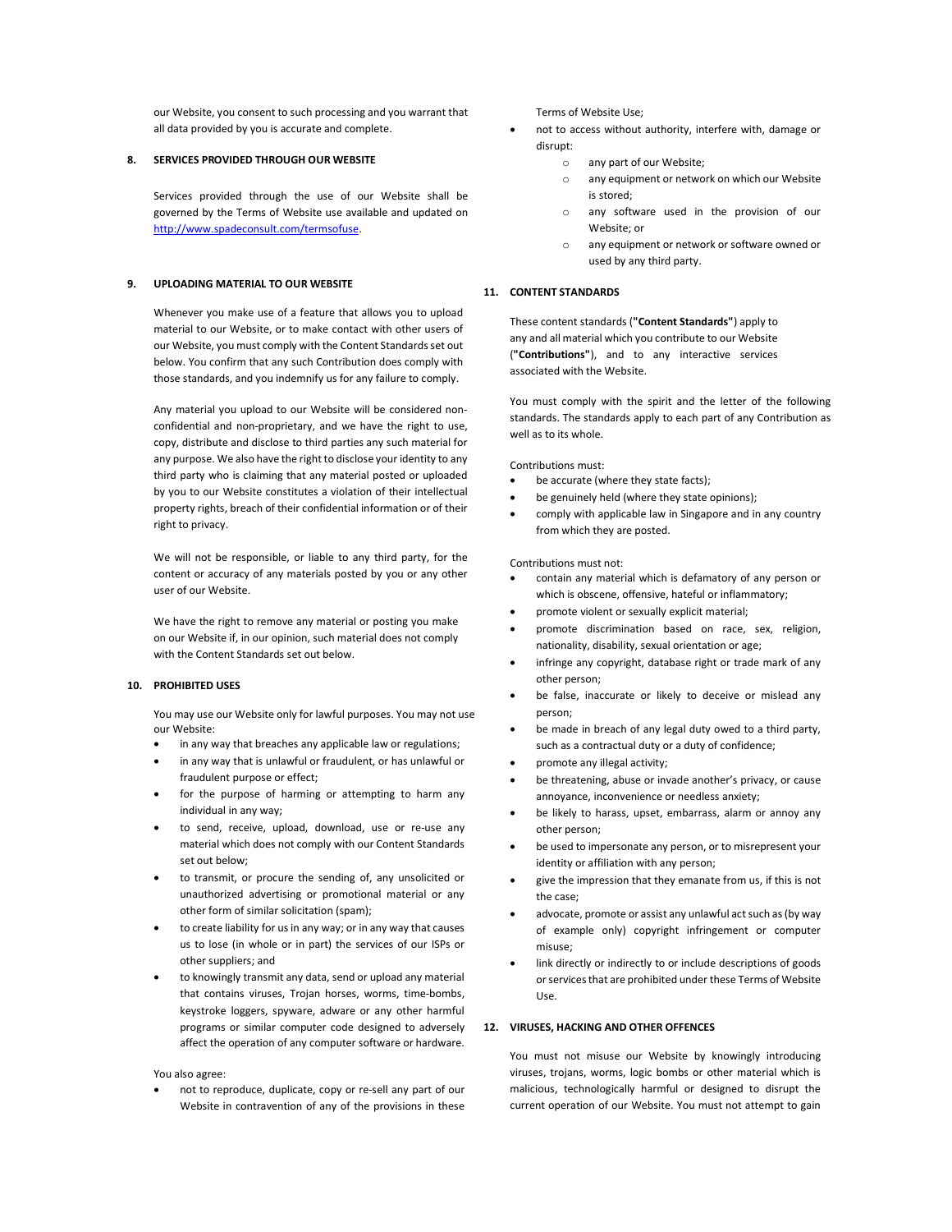our Website, you consent to such processing and you warrant that all data provided by you is accurate and complete.

### 8. SERVICES PROVIDED THROUGH OUR WEBSITE

Services provided through the use of our Website shall be governed by the Terms of Website use available and updated on http://www.spadeconsult.com/termsofuse.

## 9. UPLOADING MATERIAL TO OUR WEBSITE

Whenever you make use of a feature that allows you to upload material to our Website, or to make contact with other users of our Website, you must comply with the Content Standards set out below. You confirm that any such Contribution does comply with those standards, and you indemnify us for any failure to comply.

Any material you upload to our Website will be considered nonconfidential and non-proprietary, and we have the right to use, copy, distribute and disclose to third parties any such material for any purpose. We also have the right to disclose your identity to any third party who is claiming that any material posted or uploaded by you to our Website constitutes a violation of their intellectual property rights, breach of their confidential information or of their right to privacy.

We will not be responsible, or liable to any third party, for the content or accuracy of any materials posted by you or any other user of our Website.

We have the right to remove any material or posting you make on our Website if, in our opinion, such material does not comply with the Content Standards set out below.

## 10. PROHIBITED USES

You may use our Website only for lawful purposes. You may not use our Website:

- in any way that breaches any applicable law or regulations;
- in any way that is unlawful or fraudulent, or has unlawful or fraudulent purpose or effect;
- for the purpose of harming or attempting to harm any individual in any way;
- to send, receive, upload, download, use or re-use any material which does not comply with our Content Standards set out below;
- to transmit, or procure the sending of, any unsolicited or unauthorized advertising or promotional material or any other form of similar solicitation (spam);
- to create liability for us in any way; or in any way that causes us to lose (in whole or in part) the services of our ISPs or other suppliers; and
- to knowingly transmit any data, send or upload any material that contains viruses, Trojan horses, worms, time-bombs, keystroke loggers, spyware, adware or any other harmful programs or similar computer code designed to adversely affect the operation of any computer software or hardware.

You also agree:

 not to reproduce, duplicate, copy or re-sell any part of our Website in contravention of any of the provisions in these Terms of Website Use;

- not to access without authority, interfere with, damage or disrupt:
	- o any part of our Website;
	- o any equipment or network on which our Website is stored;
	- o any software used in the provision of our Website; or
	- o any equipment or network or software owned or used by any third party.

## 11. CONTENT STANDARDS

These content standards ("Content Standards") apply to any and all material which you contribute to our Website ("Contributions"), and to any interactive services associated with the Website.

You must comply with the spirit and the letter of the following standards. The standards apply to each part of any Contribution as well as to its whole.

Contributions must:

- be accurate (where they state facts);
- be genuinely held (where they state opinions);
- comply with applicable law in Singapore and in any country from which they are posted.

Contributions must not:

- contain any material which is defamatory of any person or which is obscene, offensive, hateful or inflammatory;
- promote violent or sexually explicit material;
- promote discrimination based on race, sex, religion, nationality, disability, sexual orientation or age;
- infringe any copyright, database right or trade mark of any other person;
- be false, inaccurate or likely to deceive or mislead any person;
- be made in breach of any legal duty owed to a third party, such as a contractual duty or a duty of confidence;
- promote any illegal activity;
- be threatening, abuse or invade another's privacy, or cause annoyance, inconvenience or needless anxiety;
- be likely to harass, upset, embarrass, alarm or annoy any other person;
- be used to impersonate any person, or to misrepresent your identity or affiliation with any person;
- give the impression that they emanate from us, if this is not the case;
- advocate, promote or assist any unlawful act such as (by way of example only) copyright infringement or computer misuse;
- link directly or indirectly to or include descriptions of goods or services that are prohibited under these Terms of Website Use.

## 12. VIRUSES, HACKING AND OTHER OFFENCES

You must not misuse our Website by knowingly introducing viruses, trojans, worms, logic bombs or other material which is malicious, technologically harmful or designed to disrupt the current operation of our Website. You must not attempt to gain